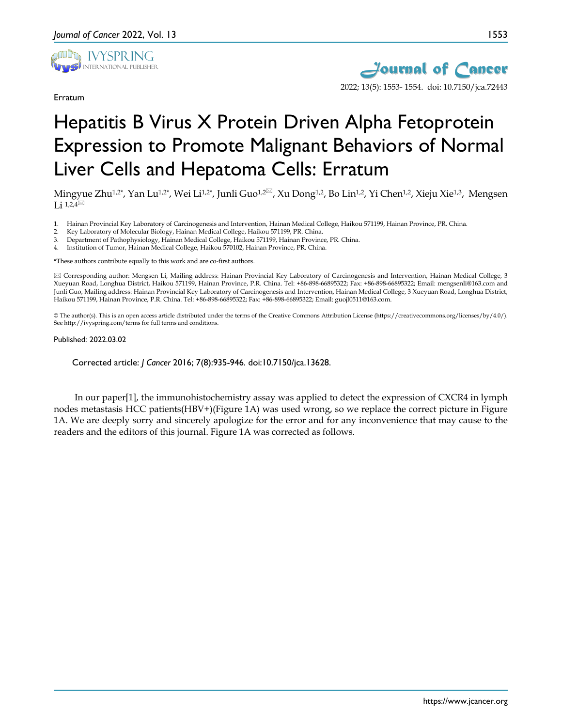

Erratum



## Hepatitis B Virus X Protein Driven Alpha Fetoprotein Expression to Promote Malignant Behaviors of Normal Liver Cells and Hepatoma Cells: Erratum

Mingyue Zhu<sup>1,2\*</sup>, Yan Lu<sup>1,2\*</sup>, Wei Li<sup>1,2\*</sup>, Junli Guo<sup>1,2⊠</sup>, Xu Dong<sup>1,2</sup>, Bo Lin<sup>1,2</sup>, Yi Chen<sup>1,2</sup>, Xieju Xie<sup>1,3</sup>, Mengsen Li  $1,2,4^{\boxtimes}$ 

- 1. Hainan Provincial Key Laboratory of Carcinogenesis and Intervention, Hainan Medical College, Haikou 571199, Hainan Province, PR. China.
- 2. Key Laboratory of Molecular Biology, Hainan Medical College, Haikou 571199, PR. China.
- 3. Department of Pathophysiology, Hainan Medical College, Haikou 571199, Hainan Province, PR. China.
- 4. Institution of Tumor, Hainan Medical College, Haikou 570102, Hainan Province, PR. China.

\*These authors contribute equally to this work and are co-first authors.

 Corresponding author: Mengsen Li, Mailing address: Hainan Provincial Key Laboratory of Carcinogenesis and Intervention, Hainan Medical College, 3 Xueyuan Road, Longhua District, Haikou 571199, Hainan Province, P.R. China. Tel: +86-898-66895322; Fax: +86-898-66895322; Email: mengsenli@163.com and Junli Guo, Mailing address: Hainan Provincial Key Laboratory of Carcinogenesis and Intervention, Hainan Medical College, 3 Xueyuan Road, Longhua District, Haikou 571199, Hainan Province, P.R. China. Tel: +86-898-66895322; Fax: +86-898-66895322; Email: guojl0511@163.com.

© The author(s). This is an open access article distributed under the terms of the Creative Commons Attribution License (https://creativecommons.org/licenses/by/4.0/). See http://ivyspring.com/terms for full terms and conditions.

## Published: 2022.03.02

Corrected article: *J Cancer* 2016; 7(8):935-946. doi:10.7150/jca.13628.

In our paper[1], the immunohistochemistry assay was applied to detect the expression of CXCR4 in lymph nodes metastasis HCC patients(HBV+)(Figure 1A) was used wrong, so we replace the correct picture in Figure 1A. We are deeply sorry and sincerely apologize for the error and for any inconvenience that may cause to the readers and the editors of this journal. Figure 1A was corrected as follows.